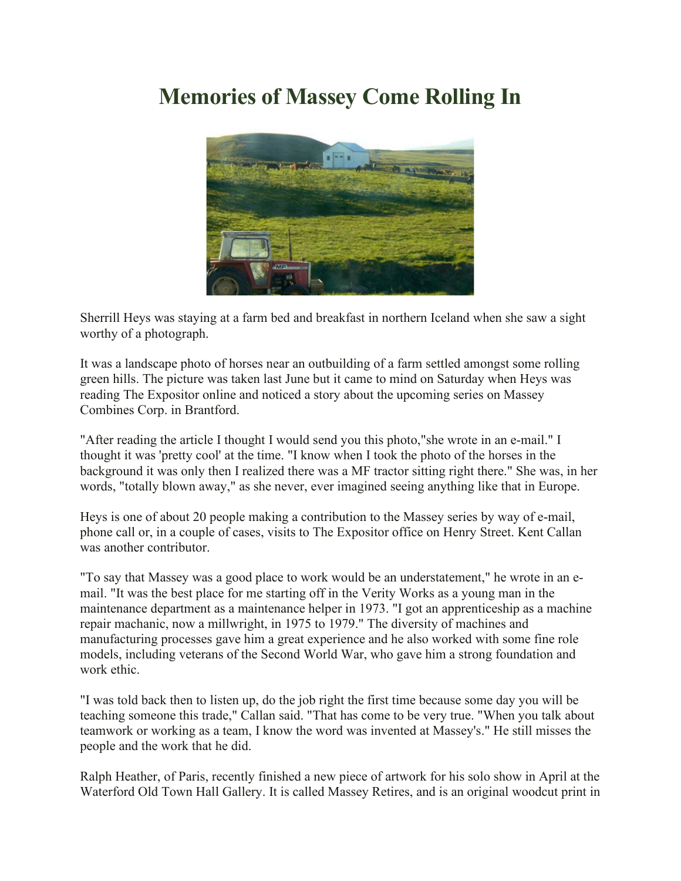## **Memories of Massey Come Rolling In**



Sherrill Heys was staying at a farm bed and breakfast in northern Iceland when she saw a sight worthy of a photograph.

It was a landscape photo of horses near an outbuilding of a farm settled amongst some rolling green hills. The picture was taken last June but it came to mind on Saturday when Heys was reading The Expositor online and noticed a story about the upcoming series on Massey Combines Corp. in Brantford.

"After reading the article I thought I would send you this photo,"she wrote in an e-mail." I thought it was 'pretty cool' at the time. "I know when I took the photo of the horses in the background it was only then I realized there was a MF tractor sitting right there." She was, in her words, "totally blown away," as she never, ever imagined seeing anything like that in Europe.

Heys is one of about 20 people making a contribution to the Massey series by way of e-mail, phone call or, in a couple of cases, visits to The Expositor office on Henry Street. Kent Callan was another contributor.

"To say that Massey was a good place to work would be an understatement," he wrote in an email. "It was the best place for me starting off in the Verity Works as a young man in the maintenance department as a maintenance helper in 1973. "I got an apprenticeship as a machine repair machanic, now a millwright, in 1975 to 1979." The diversity of machines and manufacturing processes gave him a great experience and he also worked with some fine role models, including veterans of the Second World War, who gave him a strong foundation and work ethic.

"I was told back then to listen up, do the job right the first time because some day you will be teaching someone this trade," Callan said. "That has come to be very true. "When you talk about teamwork or working as a team, I know the word was invented at Massey's." He still misses the people and the work that he did.

Ralph Heather, of Paris, recently finished a new piece of artwork for his solo show in April at the Waterford Old Town Hall Gallery. It is called Massey Retires, and is an original woodcut print in